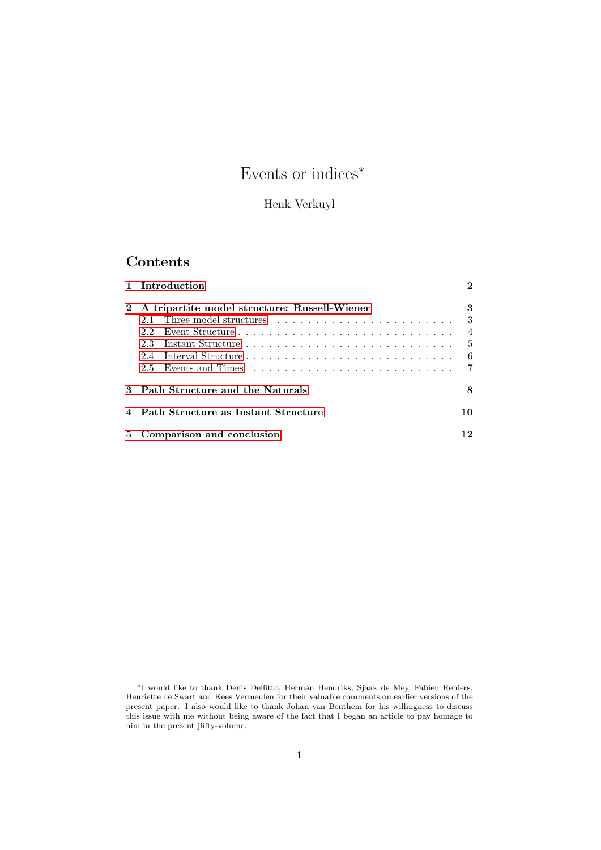# Events or indices<sup>∗</sup>

## Henk Verkuyl

## Contents

|   | 1 Introduction                               | 2              |  |  |  |
|---|----------------------------------------------|----------------|--|--|--|
|   | A tripartite model structure: Russell-Wiener |                |  |  |  |
|   |                                              | 3              |  |  |  |
|   | 22                                           | $\overline{4}$ |  |  |  |
|   | 23.                                          | .5             |  |  |  |
|   | Interval Structure<br>2.4                    | 6              |  |  |  |
|   | $2.5 -$                                      | $\overline{7}$ |  |  |  |
|   | 3 Path Structure and the Naturals<br>8       |                |  |  |  |
|   | 4 Path Structure as Instant Structure        |                |  |  |  |
| 5 | Comparison and conclusion                    |                |  |  |  |

<sup>∗</sup>I would like to thank Denis Delfitto, Herman Hendriks, Sjaak de Mey, Fabien Reniers, Henriette de Swart and Kees Vermeulen for their valuable comments on earlier versions of the present paper. I also would like to thank Johan van Benthem for his willingness to discuss this issue with me without being aware of the fact that I began an article to pay homage to him in the present jfifty-volume.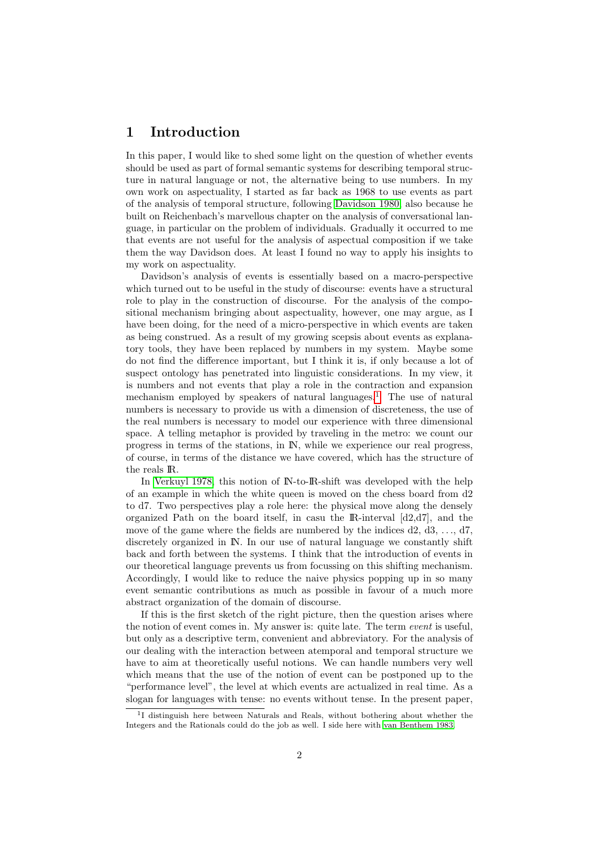## <span id="page-1-0"></span>1 Introduction

In this paper, I would like to shed some light on the question of whether events should be used as part of formal semantic systems for describing temporal structure in natural language or not, the alternative being to use numbers. In my own work on aspectuality, I started as far back as 1968 to use events as part of the analysis of temporal structure, following [Davidson 1980,](#page-13-0) also because he built on Reichenbach's marvellous chapter on the analysis of conversational language, in particular on the problem of individuals. Gradually it occurred to me that events are not useful for the analysis of aspectual composition if we take them the way Davidson does. At least I found no way to apply his insights to my work on aspectuality.

Davidson's analysis of events is essentially based on a macro-perspective which turned out to be useful in the study of discourse: events have a structural role to play in the construction of discourse. For the analysis of the compositional mechanism bringing about aspectuality, however, one may argue, as I have been doing, for the need of a micro-perspective in which events are taken as being construed. As a result of my growing scepsis about events as explanatory tools, they have been replaced by numbers in my system. Maybe some do not find the difference important, but I think it is, if only because a lot of suspect ontology has penetrated into linguistic considerations. In my view, it is numbers and not events that play a role in the contraction and expansion mechanism employed by speakers of natural languages.<sup>[1](#page-1-1)</sup> The use of natural numbers is necessary to provide us with a dimension of discreteness, the use of the real numbers is necessary to model our experience with three dimensional space. A telling metaphor is provided by traveling in the metro: we count our progress in terms of the stations, in IN, while we experience our real progress, of course, in terms of the distance we have covered, which has the structure of the reals IR.

In [Verkuyl 1978,](#page-13-1) this notion of IN-to-IR-shift was developed with the help of an example in which the white queen is moved on the chess board from d2 to d7. Two perspectives play a role here: the physical move along the densely organized Path on the board itself, in casu the  $\mathbb{R}$ -interval  $[d2,d7]$ , and the move of the game where the fields are numbered by the indices  $d2, d3, \ldots, d7$ , discretely organized in IN. In our use of natural language we constantly shift back and forth between the systems. I think that the introduction of events in our theoretical language prevents us from focussing on this shifting mechanism. Accordingly, I would like to reduce the naive physics popping up in so many event semantic contributions as much as possible in favour of a much more abstract organization of the domain of discourse.

If this is the first sketch of the right picture, then the question arises where the notion of event comes in. My answer is: quite late. The term *event* is useful, but only as a descriptive term, convenient and abbreviatory. For the analysis of our dealing with the interaction between atemporal and temporal structure we have to aim at theoretically useful notions. We can handle numbers very well which means that the use of the notion of event can be postponed up to the "performance level", the level at which events are actualized in real time. As a slogan for languages with tense: no events without tense. In the present paper,

<span id="page-1-1"></span><sup>&</sup>lt;sup>1</sup>I distinguish here between Naturals and Reals, without bothering about whether the Integers and the Rationals could do the job as well. I side here with [van Benthem 1983.](#page-13-2)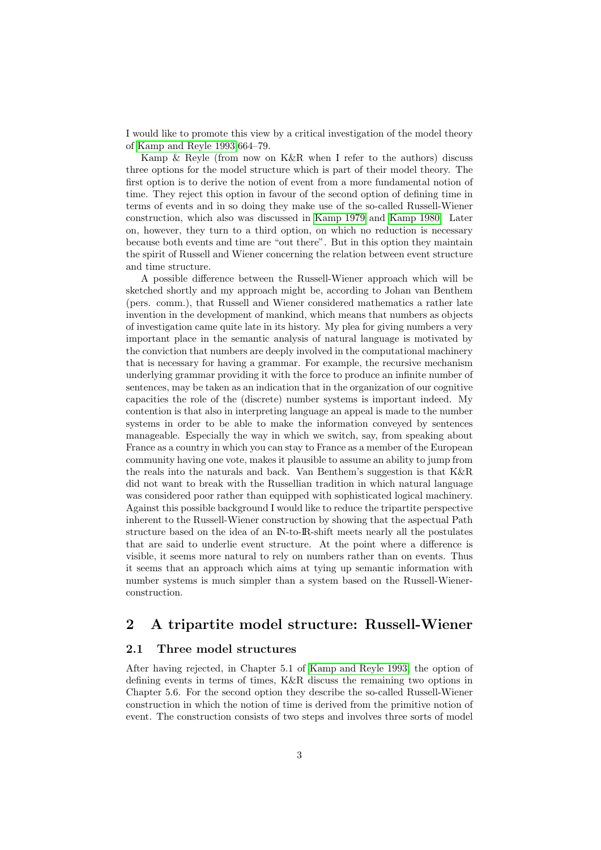I would like to promote this view by a critical investigation of the model theory of [Kamp and Reyle 1993:](#page-13-3)664–79.

Kamp & Reyle (from now on K&R when I refer to the authors) discuss three options for the model structure which is part of their model theory. The first option is to derive the notion of event from a more fundamental notion of time. They reject this option in favour of the second option of defining time in terms of events and in so doing they make use of the so-called Russell-Wiener construction, which also was discussed in [Kamp 1979](#page-13-4) and [Kamp 1980.](#page-13-5) Later on, however, they turn to a third option, on which no reduction is necessary because both events and time are "out there". But in this option they maintain the spirit of Russell and Wiener concerning the relation between event structure and time structure.

A possible difference between the Russell-Wiener approach which will be sketched shortly and my approach might be, according to Johan van Benthem (pers. comm.), that Russell and Wiener considered mathematics a rather late invention in the development of mankind, which means that numbers as objects of investigation came quite late in its history. My plea for giving numbers a very important place in the semantic analysis of natural language is motivated by the conviction that numbers are deeply involved in the computational machinery that is necessary for having a grammar. For example, the recursive mechanism underlying grammar providing it with the force to produce an infinite number of sentences, may be taken as an indication that in the organization of our cognitive capacities the role of the (discrete) number systems is important indeed. My contention is that also in interpreting language an appeal is made to the number systems in order to be able to make the information conveyed by sentences manageable. Especially the way in which we switch, say, from speaking about France as a country in which you can stay to France as a member of the European community having one vote, makes it plausible to assume an ability to jump from the reals into the naturals and back. Van Benthem's suggestion is that K&R did not want to break with the Russellian tradition in which natural language was considered poor rather than equipped with sophisticated logical machinery. Against this possible background I would like to reduce the tripartite perspective inherent to the Russell-Wiener construction by showing that the aspectual Path structure based on the idea of an IN-to-IR-shift meets nearly all the postulates that are said to underlie event structure. At the point where a difference is visible, it seems more natural to rely on numbers rather than on events. Thus it seems that an approach which aims at tying up semantic information with number systems is much simpler than a system based on the Russell-Wienerconstruction.

## <span id="page-2-0"></span>2 A tripartite model structure: Russell-Wiener

#### <span id="page-2-1"></span>2.1 Three model structures

After having rejected, in Chapter 5.1 of [Kamp and Reyle 1993,](#page-13-3) the option of defining events in terms of times, K&R discuss the remaining two options in Chapter 5.6. For the second option they describe the so-called Russell-Wiener construction in which the notion of time is derived from the primitive notion of event. The construction consists of two steps and involves three sorts of model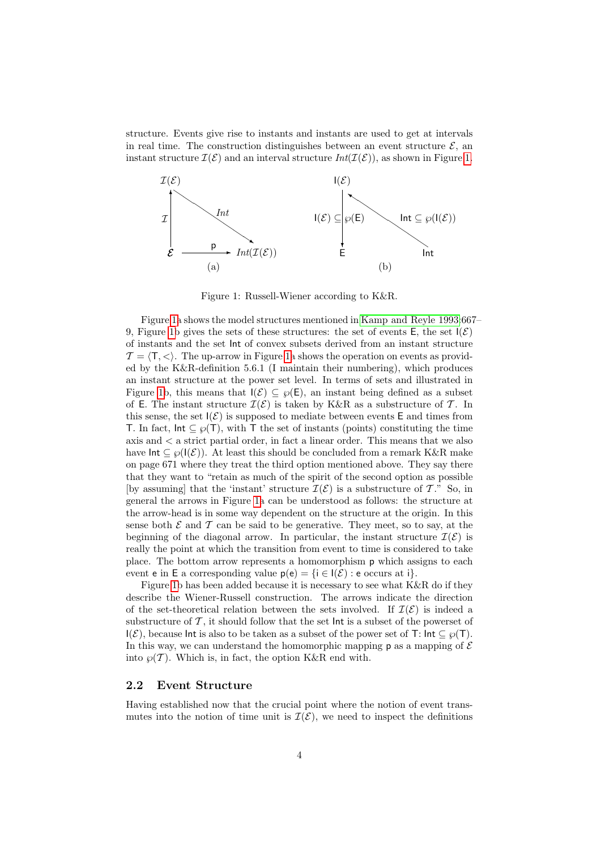structure. Events give rise to instants and instants are used to get at intervals in real time. The construction distinguishes between an event structure  $\mathcal{E}$ , an instant structure  $\mathcal{I}(\mathcal{E})$  and an interval structure  $Int(\mathcal{I}(\mathcal{E}))$ , as shown in Figure [1.](#page-3-1)



<span id="page-3-1"></span>Figure 1: Russell-Wiener according to K&R.

Figure [1a](#page-3-1) shows the model structures mentioned in [Kamp and Reyle 1993:](#page-13-3)667– 9, Figure [1b](#page-3-1) gives the sets of these structures: the set of events  $E$ , the set  $I(\mathcal{E})$ of instants and the set Int of convex subsets derived from an instant structure  $\mathcal{T} = \langle T, \langle \rangle$ . The up-arrow in Figure [1a](#page-3-1) shows the operation on events as provided by the K&R-definition 5.6.1 (I maintain their numbering), which produces an instant structure at the power set level. In terms of sets and illustrated in Figure [1b](#page-3-1), this means that  $I(\mathcal{E}) \subseteq \wp(E)$ , an instant being defined as a subset of E. The instant structure  $\mathcal{I}(\mathcal{E})$  is taken by K&R as a substructure of T. In this sense, the set  $I(\mathcal{E})$  is supposed to mediate between events E and times from T. In fact,  $Int \subseteq \varphi(T)$ , with T the set of instants (points) constituting the time axis and < a strict partial order, in fact a linear order. This means that we also have  $Int \subseteq \mathcal{O}(\mathcal{I}(\mathcal{E}))$ . At least this should be concluded from a remark K&R make on page 671 where they treat the third option mentioned above. They say there that they want to "retain as much of the spirit of the second option as possible [by assuming] that the 'instant' structure  $\mathcal{I}(\mathcal{E})$  is a substructure of T." So, in general the arrows in Figure [1a](#page-3-1) can be understood as follows: the structure at the arrow-head is in some way dependent on the structure at the origin. In this sense both  $\mathcal E$  and  $\mathcal T$  can be said to be generative. They meet, so to say, at the beginning of the diagonal arrow. In particular, the instant structure  $\mathcal{I}(\mathcal{E})$  is really the point at which the transition from event to time is considered to take place. The bottom arrow represents a homomorphism p which assigns to each event e in E a corresponding value  $p(e) = \{i \in I(\mathcal{E}) : e$  occurs at i $\}$ .

Figure [1b](#page-3-1) has been added because it is necessary to see what K&R do if they describe the Wiener-Russell construction. The arrows indicate the direction of the set-theoretical relation between the sets involved. If  $\mathcal{I}(\mathcal{E})$  is indeed a substructure of  $\mathcal T$ , it should follow that the set  $\mathsf{Int}$  is a subset of the powerset of I( $\mathcal{E}$ ), because Int is also to be taken as a subset of the power set of T: Int  $\subseteq \varphi(T)$ . In this way, we can understand the homomorphic mapping  $p$  as a mapping of  $\mathcal E$ into  $\wp(\mathcal{T})$ . Which is, in fact, the option K&R end with.

#### <span id="page-3-0"></span>2.2 Event Structure

Having established now that the crucial point where the notion of event transmutes into the notion of time unit is  $\mathcal{I}(\mathcal{E})$ , we need to inspect the definitions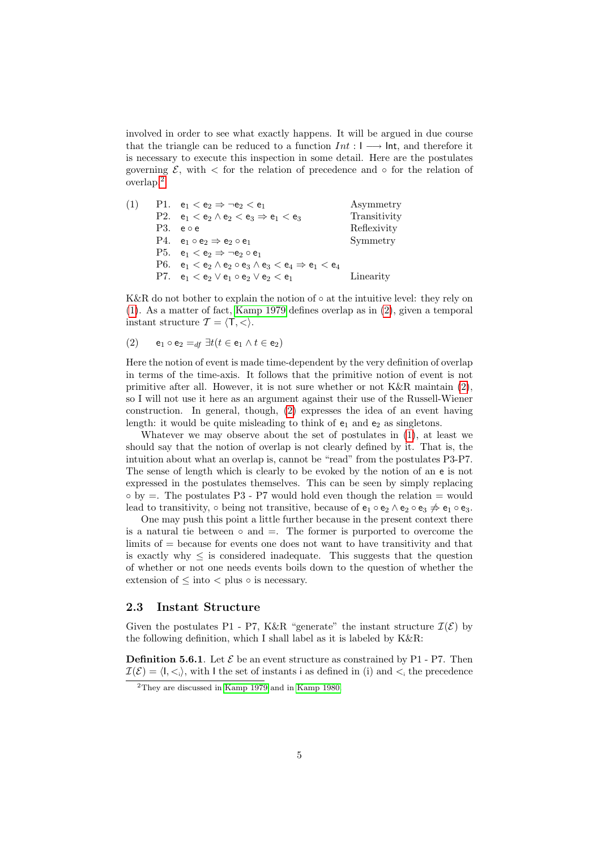involved in order to see what exactly happens. It will be argued in due course that the triangle can be reduced to a function  $Int: I \longrightarrow \text{Int}$ , and therefore it is necessary to execute this inspection in some detail. Here are the postulates governing  $\mathcal{E}$ , with  $\lt$  for the relation of precedence and  $\circ$  for the relation of overlap.[2](#page-4-1)

<span id="page-4-2"></span>

| (1) | P1. $e_1 < e_2 \Rightarrow \neg e_2 < e_1$                                  | Asymmetry    |
|-----|-----------------------------------------------------------------------------|--------------|
|     | P2. $e_1 < e_2 \wedge e_2 < e_3 \Rightarrow e_1 < e_3$                      | Transitivity |
|     | $P3.$ e $\circ$ e                                                           | Reflexivity  |
|     | P4. $e_1 \circ e_2 \Rightarrow e_2 \circ e_1$                               | Symmetry     |
|     | P5. $e_1 < e_2 \Rightarrow \neg e_2 \circ e_1$                              |              |
|     | P6. $e_1 < e_2 \wedge e_2 \circ e_3 \wedge e_3 < e_4 \Rightarrow e_1 < e_4$ |              |
|     | P7. $e_1 < e_2 \vee e_1 \circ e_2 \vee e_2 < e_1$                           | Linearity    |

K&R do not bother to explain the notion of  $\circ$  at the intuitive level: they rely on [\(1\)](#page-4-2). As a matter of fact, [Kamp 1979](#page-13-4) defines overlap as in [\(2\)](#page-4-3), given a temporal instant structure  $\mathcal{T} = \langle T, \langle \rangle$ .

<span id="page-4-3"></span>(2) 
$$
e_1 \circ e_2 =_{df} \exists t (t \in e_1 \land t \in e_2)
$$

Here the notion of event is made time-dependent by the very definition of overlap in terms of the time-axis. It follows that the primitive notion of event is not primitive after all. However, it is not sure whether or not K&R maintain [\(2\)](#page-4-3), so I will not use it here as an argument against their use of the Russell-Wiener construction. In general, though, [\(2\)](#page-4-3) expresses the idea of an event having length: it would be quite misleading to think of  $e_1$  and  $e_2$  as singletons.

Whatever we may observe about the set of postulates in [\(1\)](#page-4-2), at least we should say that the notion of overlap is not clearly defined by it. That is, the intuition about what an overlap is, cannot be "read" from the postulates P3-P7. The sense of length which is clearly to be evoked by the notion of an e is not expressed in the postulates themselves. This can be seen by simply replacing  $\circ$  by  $=$ . The postulates P3 - P7 would hold even though the relation  $=$  would lead to transitivity,  $\circ$  being not transitive, because of  $e_1 \circ e_2 \wedge e_2 \circ e_3 \nightharpoonup e_1 \circ e_3$ .

One may push this point a little further because in the present context there is a natural tie between  $\circ$  and  $=$ . The former is purported to overcome the limits of = because for events one does not want to have transitivity and that is exactly why  $\leq$  is considered inadequate. This suggests that the question of whether or not one needs events boils down to the question of whether the extension of  $\leq$  into  $\lt$  plus  $\circ$  is necessary.

#### <span id="page-4-0"></span>2.3 Instant Structure

Given the postulates P1 - P7, K&R "generate" the instant structure  $\mathcal{I}(\mathcal{E})$  by the following definition, which I shall label as it is labeled by K&R:

**Definition 5.6.1**. Let  $\mathcal{E}$  be an event structure as constrained by P1 - P7. Then  $\mathcal{I}(\mathcal{E}) = \langle I, \langle \cdot, \cdot \rangle$ , with I the set of instants i as defined in (i) and  $\langle \cdot, \cdot \rangle$  the precedence

<span id="page-4-1"></span> $\frac{2 \text{They are discussed in Kamp } 1979}$  and in [Kamp 1980.](#page-13-5)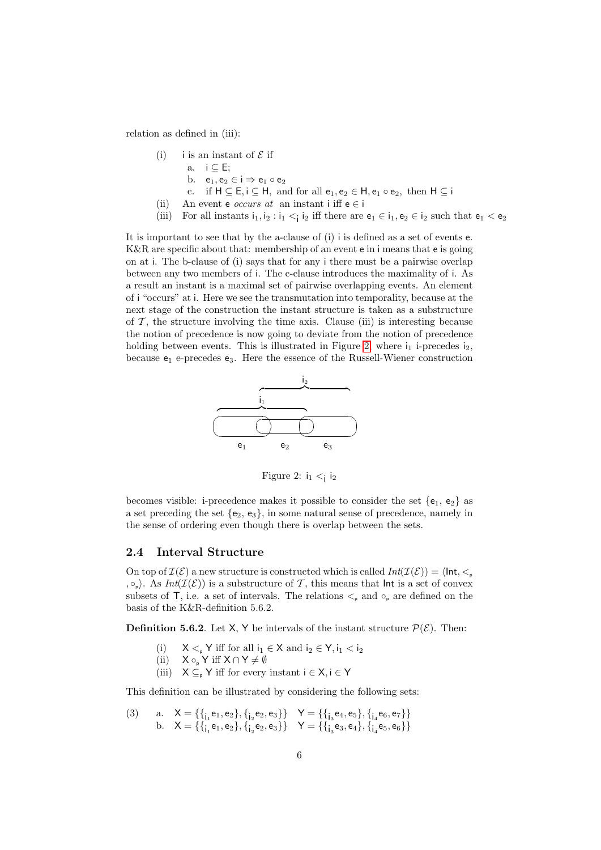relation as defined in (iii):

- (i) i is an instant of  $\mathcal E$  if
	- a.  $i \subseteq E$ ;
	- b.  $e_1, e_2 \in i \Rightarrow e_1 \circ e_2$
	- c. if  $H \subseteq E$ ,  $i \subseteq H$ , and for all  $e_1, e_2 \in H$ ,  $e_1 \circ e_2$ , then  $H \subseteq i$
- (ii) An event e *occurs at* an instant i iff  $e \in i$
- (iii) For all instants  $i_1, i_2 : i_1 < i_2$  iff there are  $e_1 \in i_1, e_2 \in i_2$  such that  $e_1 < e_2$

It is important to see that by the a-clause of (i) i is defined as a set of events e. K&R are specific about that: membership of an event e in i means that e is going on at i. The b-clause of (i) says that for any i there must be a pairwise overlap between any two members of i. The c-clause introduces the maximality of i. As a result an instant is a maximal set of pairwise overlapping events. An element of i "occurs" at i. Here we see the transmutation into temporality, because at the next stage of the construction the instant structure is taken as a substructure of  $\mathcal T$ , the structure involving the time axis. Clause (iii) is interesting because the notion of precedence is now going to deviate from the notion of precedence holding between events. This is illustrated in Figure [2,](#page-5-1) where  $i_1$  i-precedes  $i_2$ , because  $e_1$  e-precedes  $e_3$ . Here the essence of the Russell-Wiener construction



<span id="page-5-1"></span>Figure 2:  $i_1 < i_2$ 

becomes visible: i-precedence makes it possible to consider the set  ${e_1, e_2}$  as a set preceding the set  ${e_2, e_3}$ , in some natural sense of precedence, namely in the sense of ordering even though there is overlap between the sets.

#### <span id="page-5-0"></span>2.4 Interval Structure

On top of  $\mathcal{I}(\mathcal{E})$  a new structure is constructed which is called  $Int(\mathcal{I}(\mathcal{E})) = \langle Int, \leq_{p}$ ,  $\circ_p$ ). As  $Int(\mathcal{I}(\mathcal{E}))$  is a substructure of T, this means that lnt is a set of convex subsets of T, i.e. a set of intervals. The relations  $\lt_{p}$  and  $\circ_{p}$  are defined on the basis of the K&R-definition 5.6.2.

**Definition 5.6.2.** Let X, Y be intervals of the instant structure  $\mathcal{P}(\mathcal{E})$ . Then:

- (i)  $X \leq_{\text{p}} Y$  iff for all  $i_1 \in X$  and  $i_2 \in Y$ ,  $i_1 < i_2$
- (ii)  $X \circ_{p} Y$  iff  $X \cap Y \neq \emptyset$
- (iii)  $X \subseteq_{\mathsf{P}} Y$  iff for every instant  $i \in X, i \in Y$

This definition can be illustrated by considering the following sets:

<span id="page-5-2"></span>
$$
\begin{array}{ll} \text{(3)} & \text{ a.} & X = \{ \{ _{i_1} \text{e}_1, \text{e}_2 \}, \{ _{i_2} \text{e}_2, \text{e}_3 \} \} & Y = \{ \{ _{i_3} \text{e}_4, \text{e}_5 \}, \{ _{i_4} \text{e}_6, \text{e}_7 \} \} \\ & \text{ b.} & X = \{ \{ _{i_1} \text{e}_1, \text{e}_2 \}, \{ _{i_2} \text{e}_2, \text{e}_3 \} \} & Y = \{ \{ _{i_3} \text{e}_3, \text{e}_4 \}, \{ _{i_4} \text{e}_5, \text{e}_6 \} \} \end{array}
$$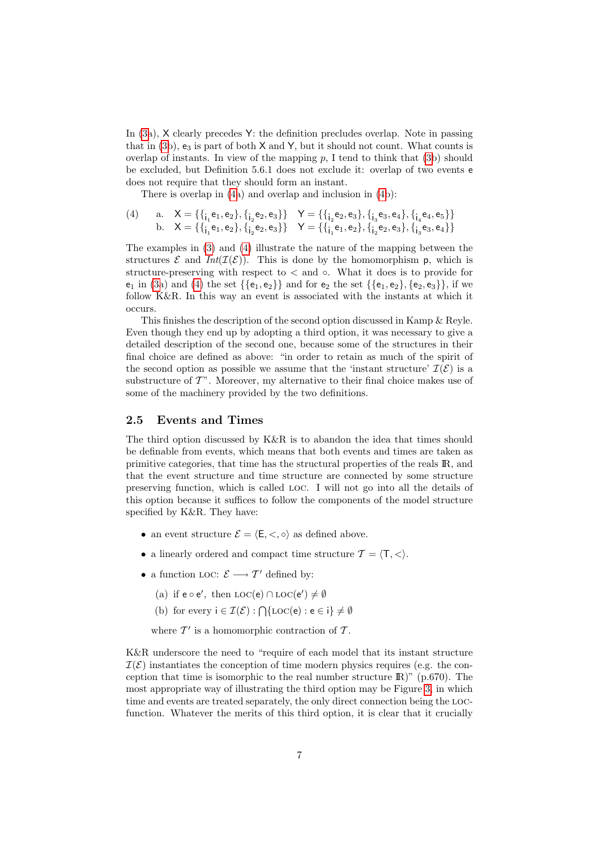In [\(3a](#page-5-2)), X clearly precedes Y: the definition precludes overlap. Note in passing that in  $(3b)$  $(3b)$ ,  $e_3$  is part of both X and Y, but it should not count. What counts is overlap of instants. In view of the mapping  $p$ , I tend to think that [\(3b](#page-5-2)) should be excluded, but Definition 5.6.1 does not exclude it: overlap of two events e does not require that they should form an instant.

<span id="page-6-1"></span>There is overlap in [\(4a](#page-6-1)) and overlap and inclusion in [\(4b](#page-6-1)):

$$
\begin{array}{ll}\n\text{(4)} & \text{a.} & X = \{ \{ _{i_1} \mathsf{e}_1, \mathsf{e}_2 \}, \{ _{i_2} \mathsf{e}_2, \mathsf{e}_3 \} \} & Y = \{ \{ _{i_2} \mathsf{e}_2, \mathsf{e}_3 \}, \{ _{i_3} \mathsf{e}_3, \mathsf{e}_4 \}, \{ _{i_4} \mathsf{e}_4, \mathsf{e}_5 \} \} \\
\text{b.} & X = \{ \{ _{i_1} \mathsf{e}_1, \mathsf{e}_2 \}, \{ _{i_2} \mathsf{e}_2, \mathsf{e}_3 \} \} & Y = \{ \{ _{i_1} \mathsf{e}_1, \mathsf{e}_2 \}, \{ _{i_2} \mathsf{e}_2, \mathsf{e}_3 \}, \{ _{i_3} \mathsf{e}_3, \mathsf{e}_4 \} \}\n\end{array}
$$

The examples in [\(3\)](#page-5-2) and [\(4\)](#page-6-1) illustrate the nature of the mapping between the structures  $\mathcal E$  and  $Int(\mathcal I(\mathcal E))$ . This is done by the homomorphism p, which is structure-preserving with respect to  $\lt$  and  $\circ$ . What it does is to provide for  $e_1$  in [\(3a](#page-5-2)) and [\(4\)](#page-6-1) the set  $\{\{e_1, e_2\}\}\$  and for  $e_2$  the set  $\{\{e_1, e_2\}, \{e_2, e_3\}\}\$ , if we follow K&R. In this way an event is associated with the instants at which it occurs.

This finishes the description of the second option discussed in Kamp & Reyle. Even though they end up by adopting a third option, it was necessary to give a detailed description of the second one, because some of the structures in their final choice are defined as above: "in order to retain as much of the spirit of the second option as possible we assume that the 'instant structure'  $\mathcal{I}(\mathcal{E})$  is a substructure of  $T$ ". Moreover, my alternative to their final choice makes use of some of the machinery provided by the two definitions.

#### <span id="page-6-0"></span>2.5 Events and Times

The third option discussed by K&R is to abandon the idea that times should be definable from events, which means that both events and times are taken as primitive categories, that time has the structural properties of the reals IR, and that the event structure and time structure are connected by some structure preserving function, which is called loc. I will not go into all the details of this option because it suffices to follow the components of the model structure specified by K&R. They have:

- an event structure  $\mathcal{E} = \langle \mathsf{E}, \langle , \circ \rangle$  as defined above.
- a linearly ordered and compact time structure  $\mathcal{T} = \langle T, \langle \rangle$ .
- a function LOC:  $\mathcal{E} \longrightarrow \mathcal{T}'$  defined by:
	- (a) if  $e \circ e'$ , then  $LOC(e) \cap LOC(e') \neq \emptyset$
	- (b) for every  $i \in \mathcal{I}(\mathcal{E}) : \bigcap \{ \text{LOC}(e) : e \in i \} \neq \emptyset$

where  $\mathcal{T}'$  is a homomorphic contraction of  $\mathcal{T}$ .

K&R underscore the need to "require of each model that its instant structure  $\mathcal{I}(\mathcal{E})$  instantiates the conception of time modern physics requires (e.g. the conception that time is isomorphic to the real number structure  $\mathbb{R}$ )" (p.670). The most appropriate way of illustrating the third option may be Figure [3,](#page-7-1) in which time and events are treated separately, the only direct connection being the locfunction. Whatever the merits of this third option, it is clear that it crucially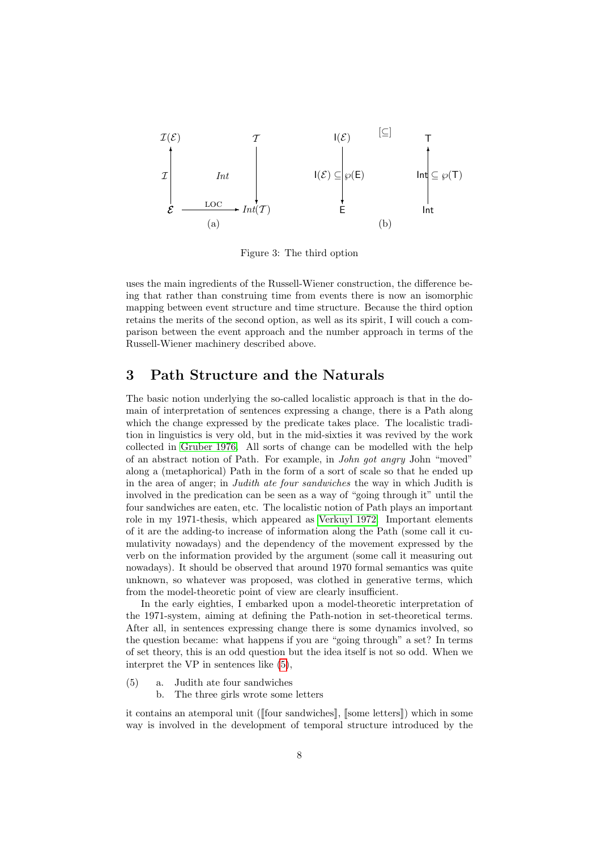

<span id="page-7-1"></span>Figure 3: The third option

uses the main ingredients of the Russell-Wiener construction, the difference being that rather than construing time from events there is now an isomorphic mapping between event structure and time structure. Because the third option retains the merits of the second option, as well as its spirit, I will couch a comparison between the event approach and the number approach in terms of the Russell-Wiener machinery described above.

## <span id="page-7-0"></span>3 Path Structure and the Naturals

The basic notion underlying the so-called localistic approach is that in the domain of interpretation of sentences expressing a change, there is a Path along which the change expressed by the predicate takes place. The localistic tradition in linguistics is very old, but in the mid-sixties it was revived by the work collected in [Gruber 1976.](#page-13-6) All sorts of change can be modelled with the help of an abstract notion of Path. For example, in John got angry John "moved" along a (metaphorical) Path in the form of a sort of scale so that he ended up in the area of anger; in *Judith ate four sandwiches* the way in which Judith is involved in the predication can be seen as a way of "going through it" until the four sandwiches are eaten, etc. The localistic notion of Path plays an important role in my 1971-thesis, which appeared as [Verkuyl 1972.](#page-13-7) Important elements of it are the adding-to increase of information along the Path (some call it cumulativity nowadays) and the dependency of the movement expressed by the verb on the information provided by the argument (some call it measuring out nowadays). It should be observed that around 1970 formal semantics was quite unknown, so whatever was proposed, was clothed in generative terms, which from the model-theoretic point of view are clearly insufficient.

In the early eighties, I embarked upon a model-theoretic interpretation of the 1971-system, aiming at defining the Path-notion in set-theoretical terms. After all, in sentences expressing change there is some dynamics involved, so the question became: what happens if you are "going through" a set? In terms of set theory, this is an odd question but the idea itself is not so odd. When we interpret the VP in sentences like [\(5\)](#page-7-2),

- <span id="page-7-2"></span>a. Judith ate four sandwiches (5)
	- b. The three girls wrote some letters

it contains an atemporal unit ([[four sandwiches]], [[some letters]]) which in some way is involved in the development of temporal structure introduced by the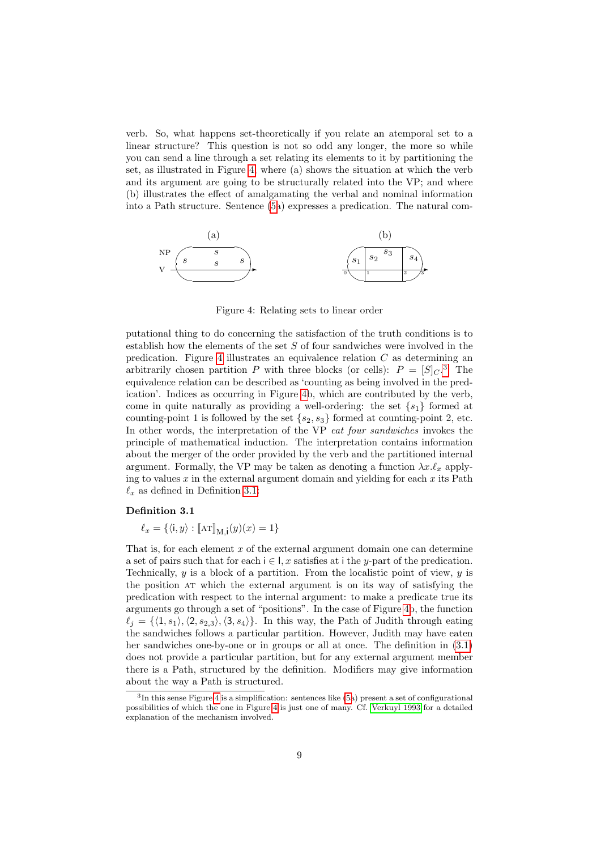verb. So, what happens set-theoretically if you relate an atemporal set to a linear structure? This question is not so odd any longer, the more so while you can send a line through a set relating its elements to it by partitioning the set, as illustrated in Figure [4,](#page-8-0) where (a) shows the situation at which the verb and its argument are going to be structurally related into the VP; and where (b) illustrates the effect of amalgamating the verbal and nominal information into a Path structure. Sentence [\(5a](#page-7-2)) expresses a predication. The natural com-



<span id="page-8-0"></span>Figure 4: Relating sets to linear order

putational thing to do concerning the satisfaction of the truth conditions is to establish how the elements of the set  $S$  of four sandwiches were involved in the predication. Figure [4](#page-8-0) illustrates an equivalence relation  $C$  as determining an arbitrarily chosen partition P with three blocks (or cells):  $P = [S]_C$ .<sup>[3](#page-8-1)</sup> The equivalence relation can be described as 'counting as being involved in the predication'. Indices as occurring in Figure [4b](#page-8-0), which are contributed by the verb, come in quite naturally as providing a well-ordering: the set  $\{s_1\}$  formed at counting-point 1 is followed by the set  $\{s_2, s_3\}$  formed at counting-point 2, etc. In other words, the interpretation of the VP eat four sandwiches invokes the principle of mathematical induction. The interpretation contains information about the merger of the order provided by the verb and the partitioned internal argument. Formally, the VP may be taken as denoting a function  $\lambda x.\ell_x$  applying to values  $x$  in the external argument domain and yielding for each  $x$  its Path  $\ell_x$  as defined in Definition [3.1:](#page-8-2)

#### Definition 3.1

<span id="page-8-2"></span>
$$
\ell_x = \{ \langle \mathbf{i}, y \rangle : \llbracket \mathbf{A} \mathbf{T} \rrbracket_{\mathbf{M}, \mathbf{i}} (y) (x) = 1 \}
$$

That is, for each element  $x$  of the external argument domain one can determine a set of pairs such that for each  $i \in I$ , x satisfies at i the y-part of the predication. Technically,  $y$  is a block of a partition. From the localistic point of view,  $y$  is the position at which the external argument is on its way of satisfying the predication with respect to the internal argument: to make a predicate true its arguments go through a set of "positions". In the case of Figure [4b](#page-8-0), the function  $\ell_i = \{\langle 1, s_1\rangle, \langle 2, s_{2,3}\rangle, \langle 3, s_4\rangle\}.$  In this way, the Path of Judith through eating the sandwiches follows a particular partition. However, Judith may have eaten her sandwiches one-by-one or in groups or all at once. The definition in [\(3.1\)](#page-8-2) does not provide a particular partition, but for any external argument member there is a Path, structured by the definition. Modifiers may give information about the way a Path is structured.

<span id="page-8-1"></span><sup>3</sup> In this sense Figure [4](#page-8-0) is a simplification: sentences like [\(5a](#page-7-2)) present a set of configurational possibilities of which the one in Figure [4](#page-8-0) is just one of many. Cf. [Verkuyl 1993](#page-13-8) for a detailed explanation of the mechanism involved.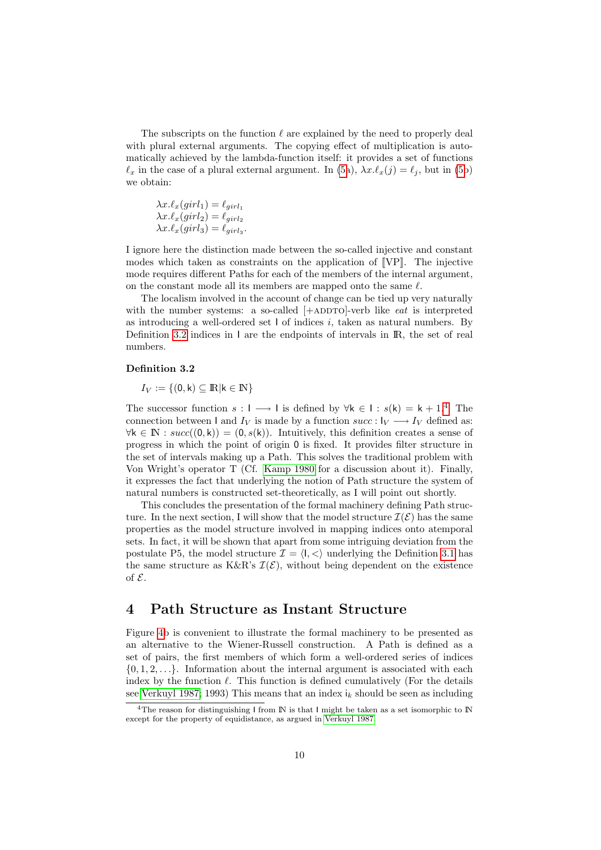The subscripts on the function  $\ell$  are explained by the need to properly deal with plural external arguments. The copying effect of multiplication is automatically achieved by the lambda-function itself: it provides a set of functions  $\ell_x$  in the case of a plural external argument. In [\(5a](#page-7-2)),  $\lambda x.\ell_x(j) = \ell_j$ , but in [\(5b](#page-7-2)) we obtain:

$$
\lambda x.\ell_x(girl_1) = \ell_{girl_1}
$$
  
\n
$$
\lambda x.\ell_x(girl_2) = \ell_{girl_2}
$$
  
\n
$$
\lambda x.\ell_x(girl_3) = \ell_{girl_3}.
$$

I ignore here the distinction made between the so-called injective and constant modes which taken as constraints on the application of  $[VP]$ . The injective mode requires different Paths for each of the members of the internal argument, on the constant mode all its members are mapped onto the same  $\ell$ .

The localism involved in the account of change can be tied up very naturally with the number systems: a so-called  $[+ADDTO]$ -verb like *eat* is interpreted as introducing a well-ordered set  $\mathsf I$  of indices i, taken as natural numbers. By Definition [3.2](#page-9-1) indices in I are the endpoints of intervals in IR, the set of real numbers.

#### <span id="page-9-1"></span>Definition 3.2

 $I_V := \{(0, k) \subseteq \mathbb{R} | k \in \mathbb{N}\}\$ 

The successor function  $s: I \longrightarrow I$  is defined by  $\forall k \in I : s(k) = k + 1<sup>4</sup>$  $\forall k \in I : s(k) = k + 1<sup>4</sup>$  $\forall k \in I : s(k) = k + 1<sup>4</sup>$  The connection between I and  $I_V$  is made by a function  $succ: I_V \longrightarrow I_V$  defined as:  $\forall k \in \mathbb{N} : succ((0,k)) = (0, s(k)).$  Intuitively, this definition creates a sense of progress in which the point of origin 0 is fixed. It provides filter structure in the set of intervals making up a Path. This solves the traditional problem with Von Wright's operator T (Cf. [Kamp 1980](#page-13-5) for a discussion about it). Finally, it expresses the fact that underlying the notion of Path structure the system of natural numbers is constructed set-theoretically, as I will point out shortly.

This concludes the presentation of the formal machinery defining Path structure. In the next section, I will show that the model structure  $\mathcal{I}(\mathcal{E})$  has the same properties as the model structure involved in mapping indices onto atemporal sets. In fact, it will be shown that apart from some intriguing deviation from the postulate P5, the model structure  $\mathcal{I} = \langle I, \langle \rangle$  underlying the Definition [3.1](#page-8-2) has the same structure as K&R's  $\mathcal{I}(\mathcal{E})$ , without being dependent on the existence of  $\mathcal{E}$ .

## <span id="page-9-0"></span>4 Path Structure as Instant Structure

Figure [4b](#page-8-0) is convenient to illustrate the formal machinery to be presented as an alternative to the Wiener-Russell construction. A Path is defined as a set of pairs, the first members of which form a well-ordered series of indices  $\{0, 1, 2, \ldots\}$ . Information about the internal argument is associated with each index by the function  $\ell$ . This function is defined cumulatively (For the details see [Verkuyl 1987;](#page-13-9) 1993) This means that an index  $i_k$  should be seen as including

<span id="page-9-2"></span><sup>&</sup>lt;sup>4</sup>The reason for distinguishing I from IN is that I might be taken as a set isomorphic to IN except for the property of equidistance, as argued in [Verkuyl 1987.](#page-13-9)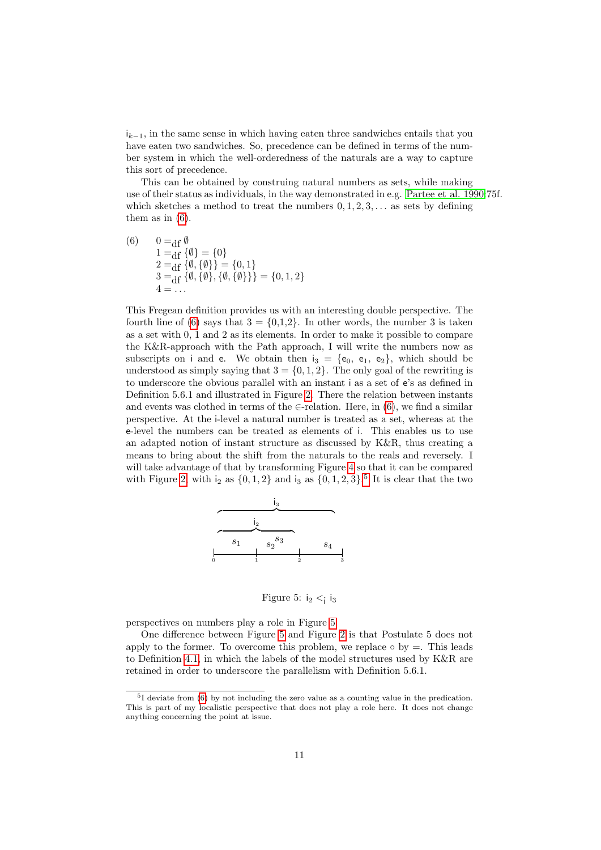$i_{k-1}$ , in the same sense in which having eaten three sandwiches entails that you have eaten two sandwiches. So, precedence can be defined in terms of the number system in which the well-orderedness of the naturals are a way to capture this sort of precedence.

This can be obtained by construing natural numbers as sets, while making use of their status as individuals, in the way demonstrated in e.g. [Partee et al. 1990:](#page-13-10)75f. which sketches a method to treat the numbers  $0, 1, 2, 3, \ldots$  as sets by defining them as in  $(6)$ .

<span id="page-10-0"></span>(6) 
$$
0 = df \emptyset
$$
  
\n
$$
1 = df \{\emptyset\} = \{0\}
$$
  
\n
$$
2 = df \{\emptyset, \{\emptyset\}\} = \{0, 1\}
$$
  
\n
$$
3 = df \{\emptyset, \{\emptyset\}, \{\emptyset, \{\emptyset\}\}\} = \{0, 1, 2\}
$$
  
\n
$$
4 = ...
$$

This Fregean definition provides us with an interesting double perspective. The fourth line of [\(6\)](#page-10-0) says that  $3 = \{0,1,2\}$ . In other words, the number 3 is taken as a set with 0, 1 and 2 as its elements. In order to make it possible to compare the K&R-approach with the Path approach, I will write the numbers now as subscripts on i and e. We obtain then  $i_3 = \{e_0, e_1, e_2\}$ , which should be understood as simply saying that  $3 = \{0, 1, 2\}$ . The only goal of the rewriting is to underscore the obvious parallel with an instant i as a set of e's as defined in Definition 5.6.1 and illustrated in Figure [2.](#page-5-1) There the relation between instants and events was clothed in terms of the  $\in$ -relation. Here, in [\(6\)](#page-10-0), we find a similar perspective. At the i-level a natural number is treated as a set, whereas at the e-level the numbers can be treated as elements of i. This enables us to use an adapted notion of instant structure as discussed by K&R, thus creating a means to bring about the shift from the naturals to the reals and reversely. I will take advantage of that by transforming Figure [4](#page-8-0) so that it can be compared with Figure [2,](#page-5-1) with  $i_2$  as  $\{0, 1, 2\}$  and  $i_3$  as  $\{0, 1, 2, 3\}$ .<sup>[5](#page-10-1)</sup> It is clear that the two



<span id="page-10-2"></span>Figure 5:  $i_2 < i_3$ 

perspectives on numbers play a role in Figure [5.](#page-10-2)

One difference between Figure [5](#page-10-2) and Figure [2](#page-5-1) is that Postulate 5 does not apply to the former. To overcome this problem, we replace  $\circ$  by  $=$ . This leads to Definition [4.1,](#page-8-2) in which the labels of the model structures used by  $K\&R$  are retained in order to underscore the parallelism with Definition 5.6.1.

<span id="page-10-1"></span><sup>&</sup>lt;sup>5</sup>I deviate from [\(6\)](#page-10-0) by not including the zero value as a counting value in the predication. This is part of my localistic perspective that does not play a role here. It does not change anything concerning the point at issue.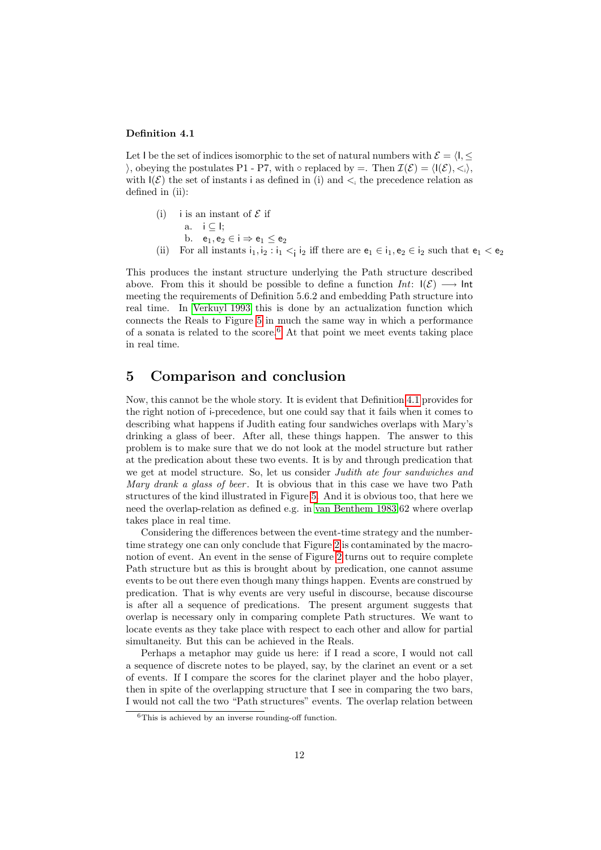#### Definition 4.1

Let I be the set of indices isomorphic to the set of natural numbers with  $\mathcal{E} = \langle \mathbf{I}, \leq \mathbf{I} \rangle$ ), obeying the postulates P1 - P7, with  $\circ$  replaced by =. Then  $\mathcal{I}(\mathcal{E}) = \langle \mathbf{I}(\mathcal{E}), \langle \cdot, \rangle \rangle$ , with  $I(\mathcal{E})$  the set of instants i as defined in (i) and  $\lt_i$  the precedence relation as defined in (ii):

- (i) i is an instant of  $\mathcal E$  if a.  $i \in I$ ; b.  $e_1, e_2 \in i \Rightarrow e_1 \le e_2$
- (ii) For all instants  $i_1, i_2 : i_1 < i_2$  iff there are  $e_1 \in i_1, e_2 \in i_2$  such that  $e_1 < e_2$

This produces the instant structure underlying the Path structure described above. From this it should be possible to define a function  $Int:$   $|(\mathcal{E}) \longrightarrow \mathsf{Int}$ meeting the requirements of Definition 5.6.2 and embedding Path structure into real time. In [Verkuyl 1993](#page-13-8) this is done by an actualization function which connects the Reals to Figure [5](#page-10-2) in much the same way in which a performance of a sonata is related to the score.<sup>[6](#page-11-1)</sup> At that point we meet events taking place in real time.

## <span id="page-11-0"></span>5 Comparison and conclusion

Now, this cannot be the whole story. It is evident that Definition [4.1](#page-8-2) provides for the right notion of i-precedence, but one could say that it fails when it comes to describing what happens if Judith eating four sandwiches overlaps with Mary's drinking a glass of beer. After all, these things happen. The answer to this problem is to make sure that we do not look at the model structure but rather at the predication about these two events. It is by and through predication that we get at model structure. So, let us consider Judith ate four sandwiches and Mary drank a glass of beer. It is obvious that in this case we have two Path structures of the kind illustrated in Figure [5.](#page-10-2) And it is obvious too, that here we need the overlap-relation as defined e.g. in [van Benthem 1983:](#page-13-2)62 where overlap takes place in real time.

Considering the differences between the event-time strategy and the numbertime strategy one can only conclude that Figure [2](#page-5-1) is contaminated by the macronotion of event. An event in the sense of Figure [2](#page-5-1) turns out to require complete Path structure but as this is brought about by predication, one cannot assume events to be out there even though many things happen. Events are construed by predication. That is why events are very useful in discourse, because discourse is after all a sequence of predications. The present argument suggests that overlap is necessary only in comparing complete Path structures. We want to locate events as they take place with respect to each other and allow for partial simultaneity. But this can be achieved in the Reals.

Perhaps a metaphor may guide us here: if I read a score, I would not call a sequence of discrete notes to be played, say, by the clarinet an event or a set of events. If I compare the scores for the clarinet player and the hobo player, then in spite of the overlapping structure that I see in comparing the two bars, I would not call the two "Path structures" events. The overlap relation between

<span id="page-11-1"></span> ${}^{6}$ This is achieved by an inverse rounding-off function.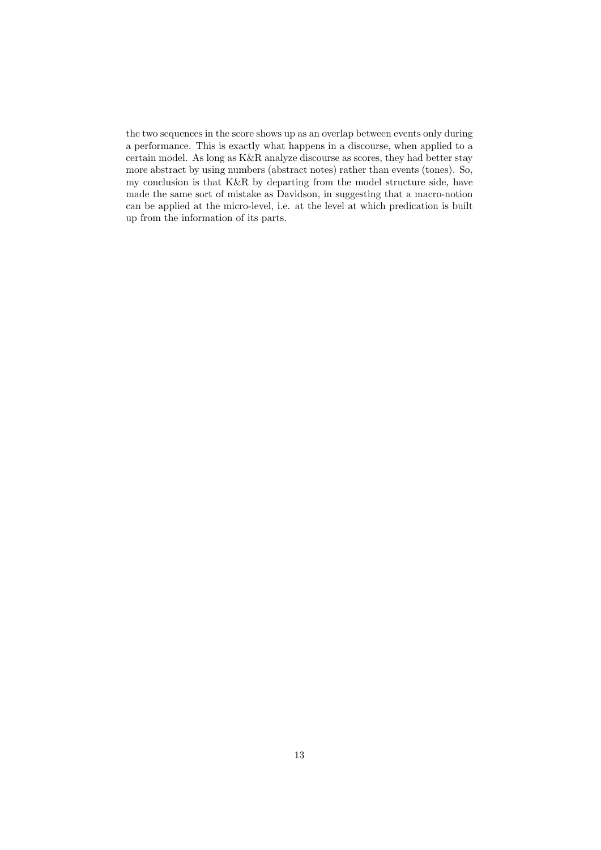the two sequences in the score shows up as an overlap between events only during a performance. This is exactly what happens in a discourse, when applied to a certain model. As long as K&R analyze discourse as scores, they had better stay more abstract by using numbers (abstract notes) rather than events (tones). So, my conclusion is that K&R by departing from the model structure side, have made the same sort of mistake as Davidson, in suggesting that a macro-notion can be applied at the micro-level, i.e. at the level at which predication is built up from the information of its parts.